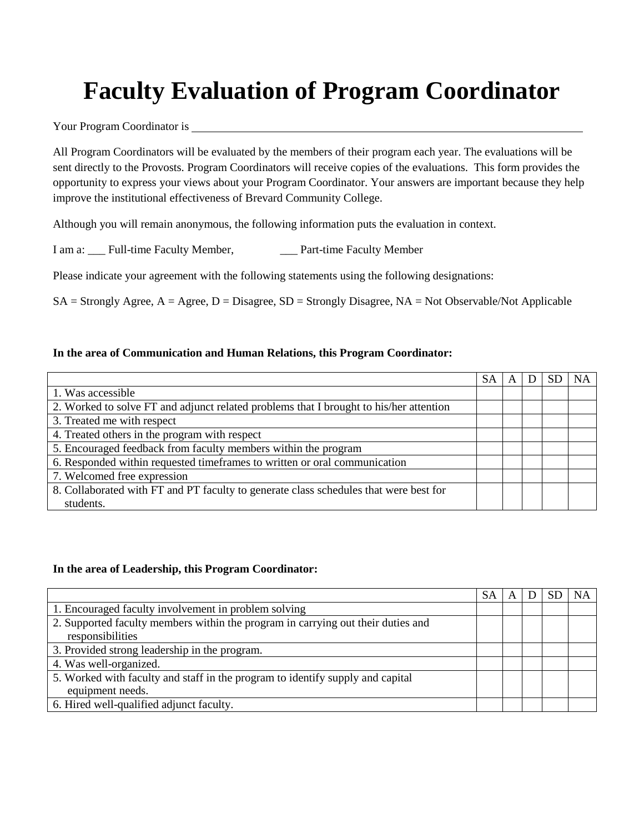# **Faculty Evaluation of Program Coordinator**

Your Program Coordinator is

All Program Coordinators will be evaluated by the members of their program each year. The evaluations will be sent directly to the Provosts. Program Coordinators will receive copies of the evaluations. This form provides the opportunity to express your views about your Program Coordinator. Your answers are important because they help improve the institutional effectiveness of Brevard Community College.

Although you will remain anonymous, the following information puts the evaluation in context.

I am a: Full-time Faculty Member, Part-time Faculty Member

Please indicate your agreement with the following statements using the following designations:

 $SA =$  Strongly Agree,  $A =$  Agree,  $D =$  Disagree,  $SD =$  Strongly Disagree,  $NA =$  Not Observable/Not Applicable

#### **In the area of Communication and Human Relations, this Program Coordinator:**

|                                                                                        | <b>SA</b> |  | <b>NA</b> |
|----------------------------------------------------------------------------------------|-----------|--|-----------|
| 1. Was accessible                                                                      |           |  |           |
| 2. Worked to solve FT and adjunct related problems that I brought to his/her attention |           |  |           |
| 3. Treated me with respect                                                             |           |  |           |
| 4. Treated others in the program with respect                                          |           |  |           |
| 5. Encouraged feedback from faculty members within the program                         |           |  |           |
| 6. Responded within requested timeframes to written or oral communication              |           |  |           |
| 7. Welcomed free expression                                                            |           |  |           |
| 8. Collaborated with FT and PT faculty to generate class schedules that were best for  |           |  |           |
| students.                                                                              |           |  |           |

#### **In the area of Leadership, this Program Coordinator:**

|                                                                                  | SА | A |  | NA |
|----------------------------------------------------------------------------------|----|---|--|----|
| 1. Encouraged faculty involvement in problem solving                             |    |   |  |    |
| 2. Supported faculty members within the program in carrying out their duties and |    |   |  |    |
| responsibilities                                                                 |    |   |  |    |
| 3. Provided strong leadership in the program.                                    |    |   |  |    |
| 4. Was well-organized.                                                           |    |   |  |    |
| 5. Worked with faculty and staff in the program to identify supply and capital   |    |   |  |    |
| equipment needs.                                                                 |    |   |  |    |
| 6. Hired well-qualified adjunct faculty.                                         |    |   |  |    |